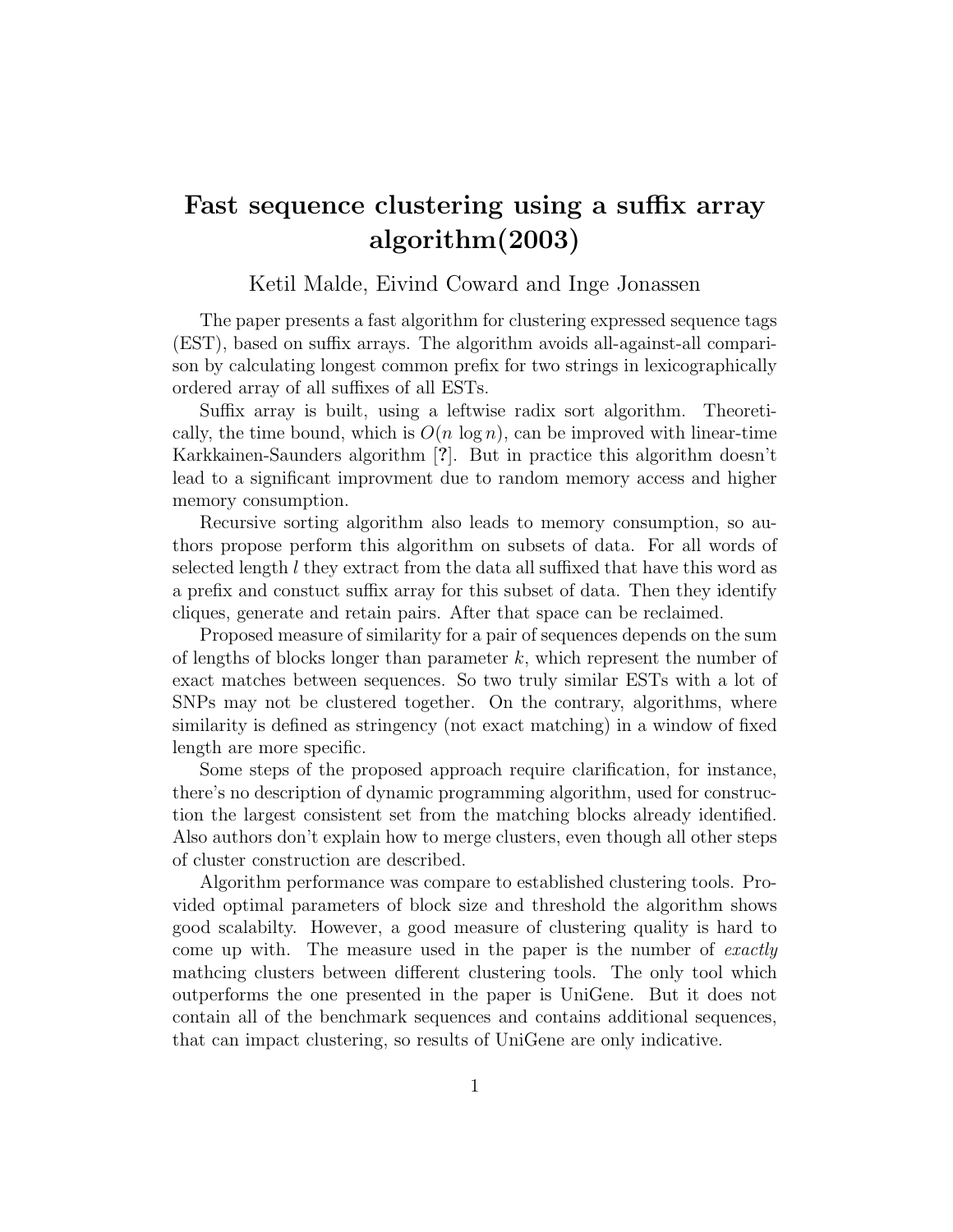## Fast sequence clustering using a suffix array algorithm(2003)

Ketil Malde, Eivind Coward and Inge Jonassen

The paper presents a fast algorithm for clustering expressed sequence tags (EST), based on suffix arrays. The algorithm avoids all-against-all comparison by calculating longest common prefix for two strings in lexicographically ordered array of all suffixes of all ESTs.

Suffix array is built, using a leftwise radix sort algorithm. Theoretically, the time bound, which is  $O(n \log n)$ , can be improved with linear-time Karkkainen-Saunders algorithm [?]. But in practice this algorithm doesn't lead to a significant improvment due to random memory access and higher memory consumption.

Recursive sorting algorithm also leads to memory consumption, so authors propose perform this algorithm on subsets of data. For all words of selected length  $l$  they extract from the data all suffixed that have this word as a prefix and constuct suffix array for this subset of data. Then they identify cliques, generate and retain pairs. After that space can be reclaimed.

Proposed measure of similarity for a pair of sequences depends on the sum of lengths of blocks longer than parameter  $k$ , which represent the number of exact matches between sequences. So two truly similar ESTs with a lot of SNPs may not be clustered together. On the contrary, algorithms, where similarity is defined as stringency (not exact matching) in a window of fixed length are more specific.

Some steps of the proposed approach require clarification, for instance, there's no description of dynamic programming algorithm, used for construction the largest consistent set from the matching blocks already identified. Also authors don't explain how to merge clusters, even though all other steps of cluster construction are described.

Algorithm performance was compare to established clustering tools. Provided optimal parameters of block size and threshold the algorithm shows good scalabilty. However, a good measure of clustering quality is hard to come up with. The measure used in the paper is the number of *exactly* mathcing clusters between different clustering tools. The only tool which outperforms the one presented in the paper is UniGene. But it does not contain all of the benchmark sequences and contains additional sequences, that can impact clustering, so results of UniGene are only indicative.